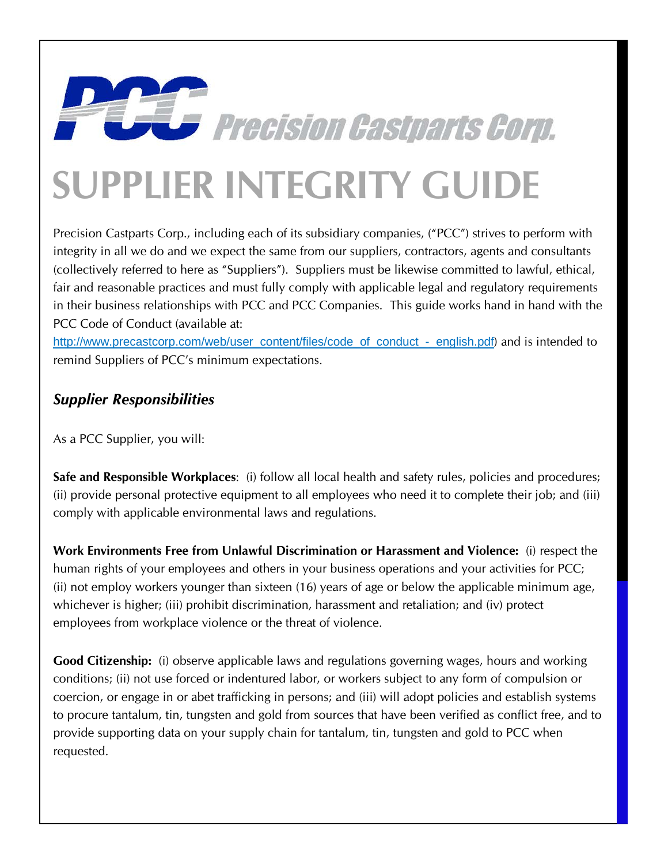## **SUPPLIER INTEGRITY GUIDE**

Precision Castparts Corp., including each of its subsidiary companies, ("PCC") strives to perform with integrity in all we do and we expect the same from our suppliers, contractors, agents and consultants (collectively referred to here as "Suppliers"). Suppliers must be likewise committed to lawful, ethical, fair and reasonable practices and must fully comply with applicable legal and regulatory requirements in their business relationships with PCC and PCC Companies. This guide works hand in hand with the PCC Code of Conduct (available at:

**Figure 2018 Precision Castparts Corp.** 

[http://www.precastcorp.com/web/user\\_content/files/code\\_of\\_conduct\\_-\\_english.pdf](http://www.precastcorp.com/web/user_content/files/code_of_conduct_-_english.pdf)) and is intended to remind Suppliers of PCC's minimum expectations.

## *Supplier Responsibilities*

As a PCC Supplier, you will:

**Safe and Responsible Workplaces**: (i) follow all local health and safety rules, policies and procedures; (ii) provide personal protective equipment to all employees who need it to complete their job; and (iii) comply with applicable environmental laws and regulations.

**Work Environments Free from Unlawful Discrimination or Harassment and Violence:** (i) respect the human rights of your employees and others in your business operations and your activities for PCC; (ii) not employ workers younger than sixteen (16) years of age or below the applicable minimum age, whichever is higher; (iii) prohibit discrimination, harassment and retaliation; and (iv) protect employees from workplace violence or the threat of violence.

**Good Citizenship:** (i) observe applicable laws and regulations governing wages, hours and working conditions; (ii) not use forced or indentured labor, or workers subject to any form of compulsion or coercion, or engage in or abet trafficking in persons; and (iii) will adopt policies and establish systems to procure tantalum, tin, tungsten and gold from sources that have been verified as conflict free, and to provide supporting data on your supply chain for tantalum, tin, tungsten and gold to PCC when requested.